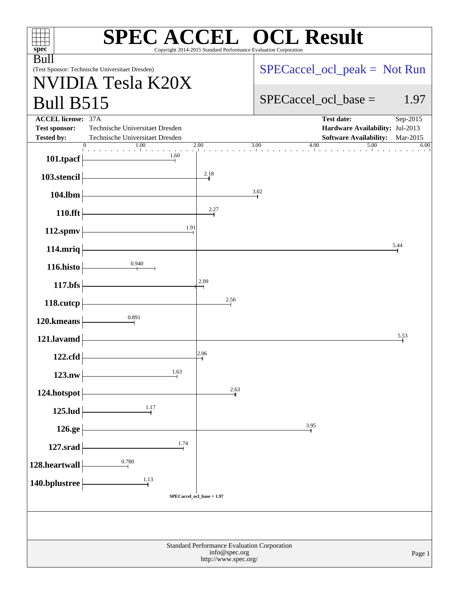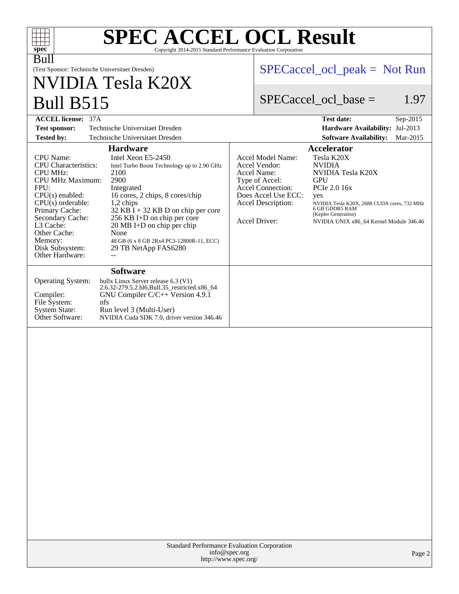| $spec^*$<br>Copyright 2014-2015 Standard Performance Evaluation Corporation                                                                                                                                                                                                                                                                                                                                                                                                                                                                                        | <b>SPEC ACCEL OCL Result</b>                                                                                                                                                                                                                                                                                                                                                              |  |  |  |
|--------------------------------------------------------------------------------------------------------------------------------------------------------------------------------------------------------------------------------------------------------------------------------------------------------------------------------------------------------------------------------------------------------------------------------------------------------------------------------------------------------------------------------------------------------------------|-------------------------------------------------------------------------------------------------------------------------------------------------------------------------------------------------------------------------------------------------------------------------------------------------------------------------------------------------------------------------------------------|--|--|--|
| Bull<br>(Test Sponsor: Technische Universitaet Dresden)<br>NVIDIA Tesla K20X                                                                                                                                                                                                                                                                                                                                                                                                                                                                                       | $SPECaccel_{ocl\_peak} = Not Run$                                                                                                                                                                                                                                                                                                                                                         |  |  |  |
| <b>Bull B515</b>                                                                                                                                                                                                                                                                                                                                                                                                                                                                                                                                                   | 1.97<br>$SPECaccel$ ocl base =                                                                                                                                                                                                                                                                                                                                                            |  |  |  |
| <b>ACCEL license: 37A</b>                                                                                                                                                                                                                                                                                                                                                                                                                                                                                                                                          | <b>Test date:</b><br>Sep-2015                                                                                                                                                                                                                                                                                                                                                             |  |  |  |
| Technische Universitaet Dresden<br><b>Test sponsor:</b>                                                                                                                                                                                                                                                                                                                                                                                                                                                                                                            | Hardware Availability: Jul-2013                                                                                                                                                                                                                                                                                                                                                           |  |  |  |
| <b>Tested by:</b><br>Technische Universitaet Dresden                                                                                                                                                                                                                                                                                                                                                                                                                                                                                                               | Mar-2015<br><b>Software Availability:</b>                                                                                                                                                                                                                                                                                                                                                 |  |  |  |
| <b>Hardware</b>                                                                                                                                                                                                                                                                                                                                                                                                                                                                                                                                                    | Accelerator                                                                                                                                                                                                                                                                                                                                                                               |  |  |  |
| <b>CPU</b> Name:<br>Intel Xeon E5-2450<br><b>CPU</b> Characteristics:<br>Intel Turbo Boost Technology up to 2.90 GHz<br><b>CPU MHz:</b><br>2100<br><b>CPU MHz Maximum:</b><br>2900<br>FPII:<br>Integrated<br>16 cores, 2 chips, 8 cores/chip<br>$CPU(s)$ enabled:<br>$CPU(s)$ orderable:<br>1,2 chips<br>Primary Cache:<br>$32$ KB I + 32 KB D on chip per core<br>256 KB I+D on chip per core<br>Secondary Cache:<br>L <sub>3</sub> Cache:<br>$20 \text{ MB}$ I+D on chip per chip<br>Other Cache:<br>None<br>Memory:<br>48 GB (6 x 8 GB 2Rx4 PC3-12800R-11, ECC) | Tesla K20X<br>Accel Model Name:<br><b>NVIDIA</b><br>Accel Vendor:<br>NVIDIA Tesla K20X<br>Accel Name:<br>Type of Accel:<br><b>GPU</b><br><b>Accel Connection:</b><br>PCIe 2.0 16x<br>Does Accel Use ECC:<br>yes<br>Accel Description:<br>NVIDIA Tesla K20X, 2688 CUDA cores, 732 MHz<br>6 GB GDDR5 RAM<br>(Kepler Generation)<br>Accel Driver:<br>NVIDIA UNIX x86 64 Kernel Module 346.46 |  |  |  |

**[Software](http://www.spec.org/auto/accel/Docs/result-fields.html#Software)**

[Memory:](http://www.spec.org/auto/accel/Docs/result-fields.html#Memory) 48 GB (6 x 8 GB 2Rx4 PC3-12800R-11, ECC)<br>Disk Subsystem: 29 TB NetApp FAS6280

Compiler: GN<br>[File System:](http://www.spec.org/auto/accel/Docs/result-fields.html#FileSystem) nfs<br>System State: Rur [System State:](http://www.spec.org/auto/accel/Docs/result-fields.html#SystemState) Run level 3 (Multi-User)<br>Other Software: NVIDIA Cuda SDK 7.0, driv

[Other Hardware:](http://www.spec.org/auto/accel/Docs/result-fields.html#OtherHardware)

[Operating System:](http://www.spec.org/auto/accel/Docs/result-fields.html#OperatingSystem) bullx Linux Server release 6.3 (V1)

2.6.32-279.5.2.bl6.Bull.35\_restricted.x86\_64 GNU Compiler C/C++ Version 4.9.1 NVIDIA Cuda SDK 7.0, driver version 346.46

29 TB NetApp FAS6280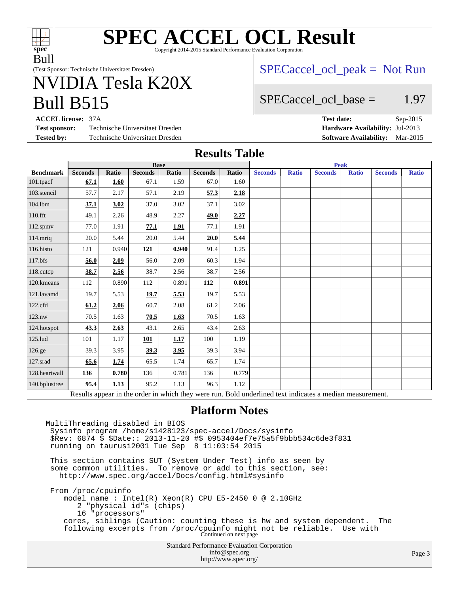

# **[SPEC ACCEL OCL Result](http://www.spec.org/auto/accel/Docs/result-fields.html#SPECACCELOCLResult)** Copyright 2014-2015 Standard Performance Evaluation Corporation

Bull

(Test Sponsor: Technische Universitaet Dresden)

# Bull B515 NVIDIA Tesla K20X

 $SPECaccel$  ocl peak = Not Run

## SPECaccel ocl base  $=$  1.97

**[ACCEL license:](http://www.spec.org/auto/accel/Docs/result-fields.html#ACCELlicense)** 37A **[Test date:](http://www.spec.org/auto/accel/Docs/result-fields.html#Testdate)** Sep-2015 **[Test sponsor:](http://www.spec.org/auto/accel/Docs/result-fields.html#Testsponsor)** Technische Universitaet Dresden **[Hardware Availability:](http://www.spec.org/auto/accel/Docs/result-fields.html#HardwareAvailability)** Jul-2013

**[Tested by:](http://www.spec.org/auto/accel/Docs/result-fields.html#Testedby)** Technische Universitaet Dresden **[Software Availability:](http://www.spec.org/auto/accel/Docs/result-fields.html#SoftwareAvailability)** Mar-2015

## **[Results Table](http://www.spec.org/auto/accel/Docs/result-fields.html#ResultsTable)**

|                                                                                                          | <b>Base</b>    |       |                |       | <b>Peak</b>    |       |                |              |                |              |                |              |
|----------------------------------------------------------------------------------------------------------|----------------|-------|----------------|-------|----------------|-------|----------------|--------------|----------------|--------------|----------------|--------------|
| <b>Benchmark</b>                                                                                         | <b>Seconds</b> | Ratio | <b>Seconds</b> | Ratio | <b>Seconds</b> | Ratio | <b>Seconds</b> | <b>Ratio</b> | <b>Seconds</b> | <b>Ratio</b> | <b>Seconds</b> | <b>Ratio</b> |
| $101$ .tpacf                                                                                             | 67.1           | 1.60  | 67.1           | 1.59  | 67.0           | 1.60  |                |              |                |              |                |              |
| 103.stencil                                                                                              | 57.7           | 2.17  | 57.1           | 2.19  | 57.3           | 2.18  |                |              |                |              |                |              |
| 104.lbm                                                                                                  | 37.1           | 3.02  | 37.0           | 3.02  | 37.1           | 3.02  |                |              |                |              |                |              |
| 110.fft                                                                                                  | 49.1           | 2.26  | 48.9           | 2.27  | 49.0           | 2.27  |                |              |                |              |                |              |
| $112$ .spm $v$                                                                                           | 77.0           | 1.91  | 77.1           | 1.91  | 77.1           | 1.91  |                |              |                |              |                |              |
| 114.mriq                                                                                                 | 20.0           | 5.44  | 20.0           | 5.44  | 20.0           | 5.44  |                |              |                |              |                |              |
| 116.histo                                                                                                | 121            | 0.940 | 121            | 0.940 | 91.4           | 1.25  |                |              |                |              |                |              |
| 117.bfs                                                                                                  | 56.0           | 2.09  | 56.0           | 2.09  | 60.3           | 1.94  |                |              |                |              |                |              |
| 118.cutcp                                                                                                | 38.7           | 2.56  | 38.7           | 2.56  | 38.7           | 2.56  |                |              |                |              |                |              |
| 120.kmeans                                                                                               | 112            | 0.890 | 112            | 0.891 | 112            | 0.891 |                |              |                |              |                |              |
| 121.lavamd                                                                                               | 19.7           | 5.53  | 19.7           | 5.53  | 19.7           | 5.53  |                |              |                |              |                |              |
| 122.cfd                                                                                                  | 61.2           | 2.06  | 60.7           | 2.08  | 61.2           | 2.06  |                |              |                |              |                |              |
| 123.nw                                                                                                   | 70.5           | 1.63  | 70.5           | 1.63  | 70.5           | 1.63  |                |              |                |              |                |              |
| 124.hotspot                                                                                              | 43.3           | 2.63  | 43.1           | 2.65  | 43.4           | 2.63  |                |              |                |              |                |              |
| 125.lud                                                                                                  | 101            | 1.17  | 101            | 1.17  | 100            | 1.19  |                |              |                |              |                |              |
| 126.ge                                                                                                   | 39.3           | 3.95  | 39.3           | 3.95  | 39.3           | 3.94  |                |              |                |              |                |              |
| 127.srad                                                                                                 | 65.6           | 1.74  | 65.5           | 1.74  | 65.7           | 1.74  |                |              |                |              |                |              |
| 128.heartwall                                                                                            | 136            | 0.780 | 136            | 0.781 | 136            | 0.779 |                |              |                |              |                |              |
| 140.bplustree                                                                                            | 95.4           | 1.13  | 95.2           | 1.13  | 96.3           | 1.12  |                |              |                |              |                |              |
| Results appear in the order in which they were run. Bold underlined text indicates a median measurement. |                |       |                |       |                |       |                |              |                |              |                |              |

#### **[Platform Notes](http://www.spec.org/auto/accel/Docs/result-fields.html#PlatformNotes)**

Standard Performance Evaluation Corporation [info@spec.org](mailto:info@spec.org) MultiThreading disabled in BIOS Sysinfo program /home/s1428123/spec-accel/Docs/sysinfo \$Rev: 6874 \$ \$Date:: 2013-11-20 #\$ 0953404ef7e75a5f9bbb534c6de3f831 running on taurusi2001 Tue Sep 8 11:03:54 2015 This section contains SUT (System Under Test) info as seen by some common utilities. To remove or add to this section, see: <http://www.spec.org/accel/Docs/config.html#sysinfo> From /proc/cpuinfo model name : Intel(R) Xeon(R) CPU E5-2450 0 @ 2.10GHz 2 "physical id"s (chips) 16 "processors" cores, siblings (Caution: counting these is hw and system dependent. The following excerpts from /proc/cpuinfo might not be reliable. Use with Continued on next page

<http://www.spec.org/>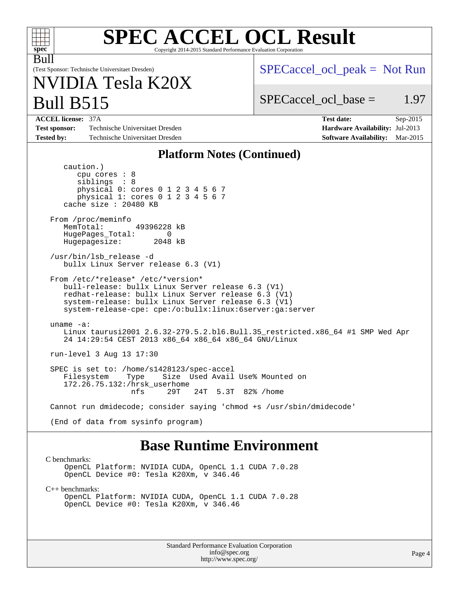| <b>SPEC ACCEL OCL Result</b><br>spec <sup>®</sup><br>Copyright 2014-2015 Standard Performance Evaluation Corporation                                                                                                                                              |                                                                                                                 |  |  |  |
|-------------------------------------------------------------------------------------------------------------------------------------------------------------------------------------------------------------------------------------------------------------------|-----------------------------------------------------------------------------------------------------------------|--|--|--|
| Bull<br>(Test Sponsor: Technische Universitaet Dresden)<br>NVIDIA Tesla K20X                                                                                                                                                                                      | $SPECaccel_{ocl\_peak} = Not Run$                                                                               |  |  |  |
| <b>Bull B515</b>                                                                                                                                                                                                                                                  | 1.97<br>$SPECaccel$ ocl base =                                                                                  |  |  |  |
| <b>ACCEL license: 37A</b><br>Technische Universitaet Dresden<br><b>Test sponsor:</b><br><b>Tested by:</b><br>Technische Universitaet Dresden                                                                                                                      | <b>Test date:</b><br>$Sep-2015$<br>Hardware Availability: Jul-2013<br><b>Software Availability:</b><br>Mar-2015 |  |  |  |
| <b>Platform Notes (Continued)</b>                                                                                                                                                                                                                                 |                                                                                                                 |  |  |  |
| caution.)<br>cpu cores $: 8$<br>siblings : 8<br>physical 0: cores 0 1 2 3 4 5 6 7<br>physical 1: cores 0 1 2 3 4 5 6 7<br>cache size $: 20480$ KB                                                                                                                 |                                                                                                                 |  |  |  |
| From /proc/meminfo<br>MemTotal:<br>49396228 kB<br>HugePages_Total:<br>$\Omega$<br>Hugepagesize:<br>2048 kB                                                                                                                                                        |                                                                                                                 |  |  |  |
| /usr/bin/lsb_release -d<br>bullx Linux Server release 6.3 (V1)                                                                                                                                                                                                    |                                                                                                                 |  |  |  |
| From /etc/*release* /etc/*version*<br>bull-release: bullx Linux Server release 6.3 (V1)<br>redhat-release: bullx Linux Server release 6.3 (V1)<br>system-release: bullx Linux Server release 6.3 (V1)<br>system-release-cpe: cpe:/o:bullx:linux:6server:ga:server |                                                                                                                 |  |  |  |
| $uname -a$ :<br>Linux taurusi2001 2.6.32-279.5.2.bl6.Bull.35_restricted.x86_64 #1 SMP Wed Apr<br>24 14:29:54 CEST 2013 x86_64 x86_64 x86_64 GNU/Linux                                                                                                             |                                                                                                                 |  |  |  |
| run-level 3 Aug 13 17:30                                                                                                                                                                                                                                          |                                                                                                                 |  |  |  |
| SPEC is set to: /home/s1428123/spec-accel<br>Size Used Avail Use% Mounted on<br>Type<br>Filesystem<br>172.26.75.132:/hrsk userhome<br>29T<br>24T 5.3T 82% / home<br>nfs                                                                                           |                                                                                                                 |  |  |  |
| Cannot run dmidecode; consider saying 'chmod +s /usr/sbin/dmidecode'                                                                                                                                                                                              |                                                                                                                 |  |  |  |
| (End of data from sysinfo program)                                                                                                                                                                                                                                |                                                                                                                 |  |  |  |
| <b>Base Runtime Environment</b><br>C benchmarks:<br>OpenCL Platform: NVIDIA CUDA, OpenCL 1.1 CUDA 7.0.28<br>OpenCL Device #0: Tesla K20Xm, v 346.46                                                                                                               |                                                                                                                 |  |  |  |

[C++ benchmarks:](http://www.spec.org/auto/accel/Docs/result-fields.html#CXXbenchmarks)

OpenCL Platform: NVIDIA CUDA, OpenCL 1.1 CUDA 7.0.28 OpenCL Device #0: Tesla K20Xm, v 346.46

> Standard Performance Evaluation Corporation [info@spec.org](mailto:info@spec.org) <http://www.spec.org/>